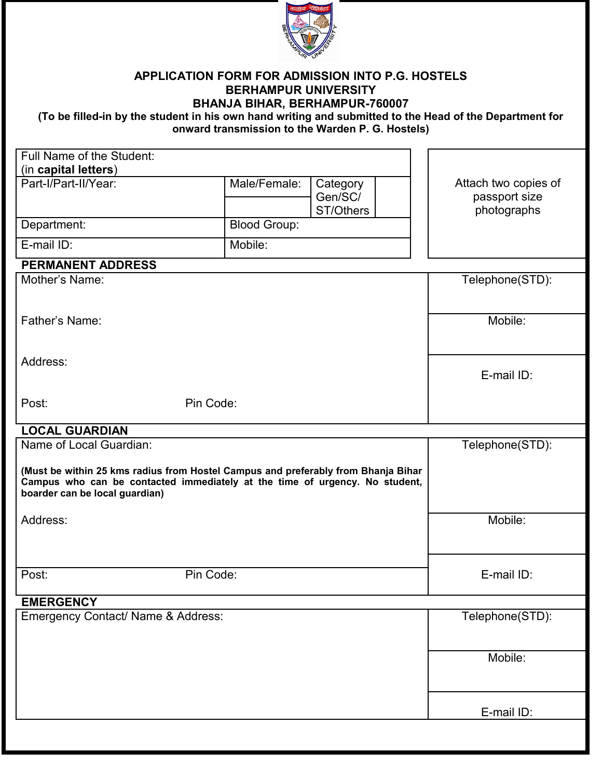

#### **APPLICATION FORM FOR ADMISSION INTO P.G. HOSTELS BERHAMPUR UNIVERSITY BHANJA BIHAR, BERHAMPUR-760007**

**(To be filled-in by the student in his own hand writing and submitted to the Head of the Department for onward transmission to the Warden P. G. Hostels)**

| Full Name of the Student:<br>(in capital letters)                                                                                                                                                                                                |                                                  |            |  |                                                      |
|--------------------------------------------------------------------------------------------------------------------------------------------------------------------------------------------------------------------------------------------------|--------------------------------------------------|------------|--|------------------------------------------------------|
| Part-I/Part-II/Year:                                                                                                                                                                                                                             | Male/Female:<br>Category<br>Gen/SC/<br>ST/Others |            |  | Attach two copies of<br>passport size<br>photographs |
| Department:                                                                                                                                                                                                                                      | <b>Blood Group:</b>                              |            |  |                                                      |
| E-mail ID:                                                                                                                                                                                                                                       | Mobile:                                          |            |  |                                                      |
| <b>PERMANENT ADDRESS</b>                                                                                                                                                                                                                         |                                                  |            |  |                                                      |
| Mother's Name:                                                                                                                                                                                                                                   |                                                  |            |  | Telephone(STD):                                      |
| Father's Name:                                                                                                                                                                                                                                   |                                                  |            |  | Mobile:                                              |
| Address:                                                                                                                                                                                                                                         |                                                  | E-mail ID: |  |                                                      |
| Post:<br>Pin Code:                                                                                                                                                                                                                               |                                                  |            |  |                                                      |
| <b>LOCAL GUARDIAN</b>                                                                                                                                                                                                                            |                                                  |            |  |                                                      |
| Name of Local Guardian:<br>Telephone(STD):<br>(Must be within 25 kms radius from Hostel Campus and preferably from Bhanja Bihar<br>Campus who can be contacted immediately at the time of urgency. No student,<br>boarder can be local guardian) |                                                  |            |  |                                                      |
| Address:                                                                                                                                                                                                                                         |                                                  |            |  | Mobile:                                              |
| Pin Code:<br>Post:                                                                                                                                                                                                                               |                                                  |            |  | E-mail ID:                                           |
| <b>EMERGENCY</b>                                                                                                                                                                                                                                 |                                                  |            |  |                                                      |
| Emergency Contact/ Name & Address:                                                                                                                                                                                                               |                                                  |            |  | Telephone(STD):                                      |
|                                                                                                                                                                                                                                                  |                                                  |            |  | Mobile:                                              |
|                                                                                                                                                                                                                                                  |                                                  |            |  | E-mail ID:                                           |
|                                                                                                                                                                                                                                                  |                                                  |            |  |                                                      |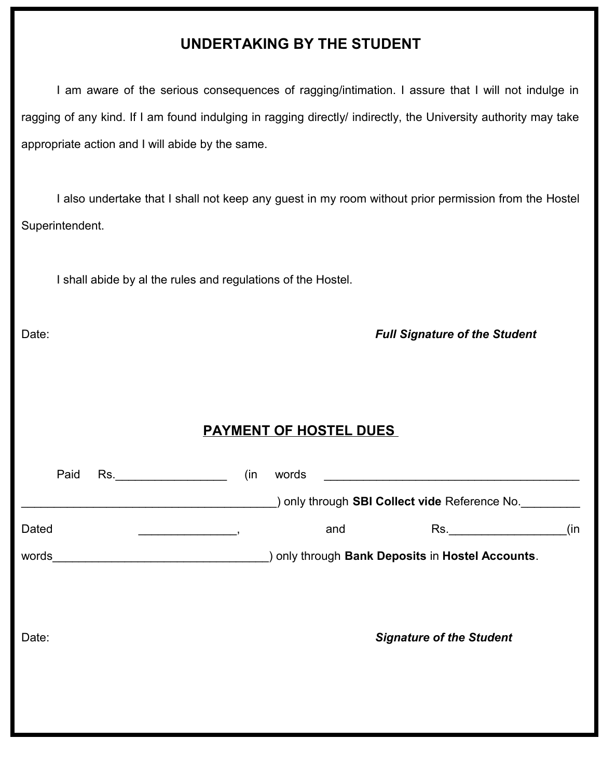# **UNDERTAKING BY THE STUDENT**

I am aware of the serious consequences of ragging/intimation. I assure that I will not indulge in ragging of any kind. If I am found indulging in ragging directly/ indirectly, the University authority may take appropriate action and I will abide by the same.

I also undertake that I shall not keep any guest in my room without prior permission from the Hostel Superintendent.

I shall abide by al the rules and regulations of the Hostel.

Date: *Full Signature of the Student* 

#### **PAYMENT OF HOSTEL DUES**

| Paid  | Rs.<br>$\frac{1}{\sqrt{1-\frac{1}{2}}\left(1-\frac{1}{2}\right)}$ | (in | words |                                                                                                                |     |
|-------|-------------------------------------------------------------------|-----|-------|----------------------------------------------------------------------------------------------------------------|-----|
|       |                                                                   |     |       | ) only through SBI Collect vide Reference No.                                                                  |     |
| Dated |                                                                   |     | and   | Rs. And the set of the set of the set of the set of the set of the set of the set of the set of the set of the | (in |
| words |                                                                   |     |       | ) only through Bank Deposits in Hostel Accounts.                                                               |     |
| Date: |                                                                   |     |       | <b>Signature of the Student</b>                                                                                |     |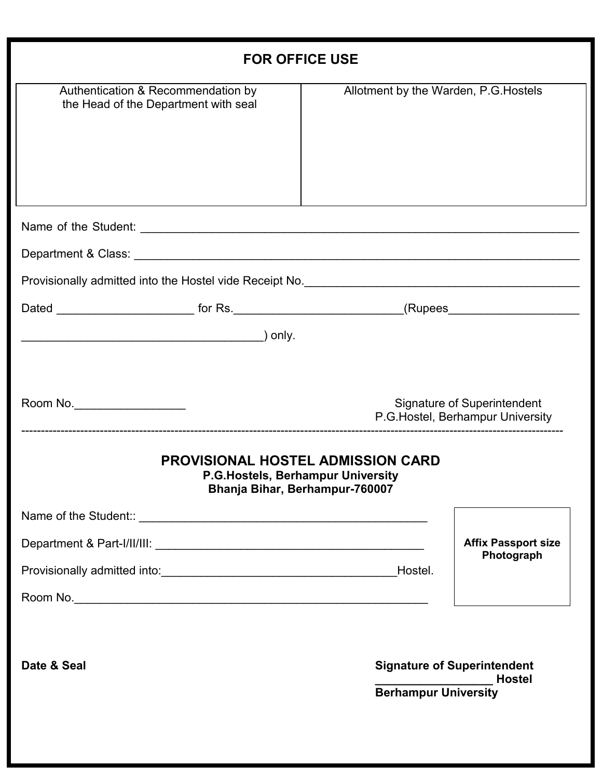| <b>FOR OFFICE USE</b>                                                                                                                                         |                                       |                                                                  |
|---------------------------------------------------------------------------------------------------------------------------------------------------------------|---------------------------------------|------------------------------------------------------------------|
| Authentication & Recommendation by<br>the Head of the Department with seal                                                                                    | Allotment by the Warden, P.G. Hostels |                                                                  |
|                                                                                                                                                               |                                       |                                                                  |
|                                                                                                                                                               |                                       |                                                                  |
| Provisionally admitted into the Hostel vide Receipt No. <b>Construct of the Construct of American</b> Provisionally admitted into the Hostel vide Receipt No. |                                       |                                                                  |
|                                                                                                                                                               |                                       |                                                                  |
| Room No.<br><b>PROVISIONAL HOSTEL ADMISSION CARD</b><br>P.G. Hostels, Berhampur University<br>Bhanja Bihar, Berhampur-760007                                  |                                       | Signature of Superintendent<br>P.G. Hostel, Berhampur University |
|                                                                                                                                                               |                                       |                                                                  |
|                                                                                                                                                               |                                       | <b>Affix Passport size</b><br>Photograph                         |
|                                                                                                                                                               |                                       |                                                                  |
| Date & Seal                                                                                                                                                   | <b>Berhampur University</b>           | <b>Signature of Superintendent</b><br><b>Hostel</b>              |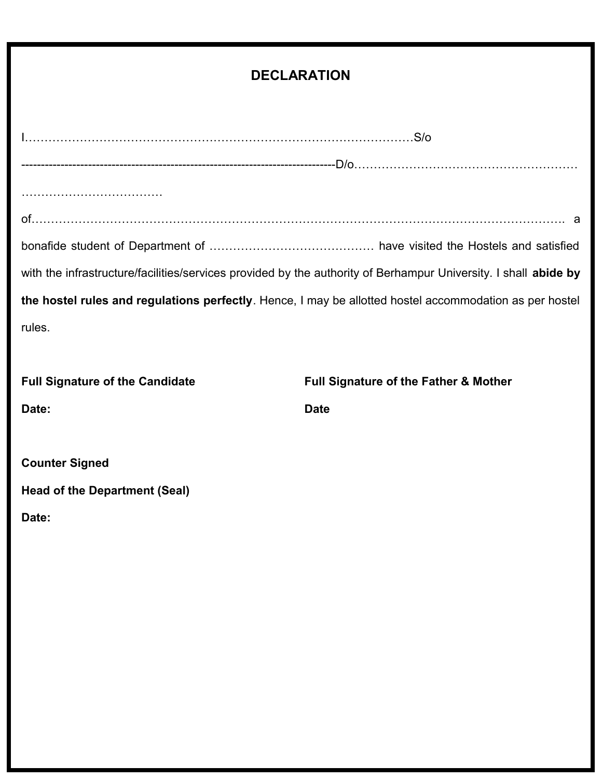### **DECLARATION**

|                                        | with the infrastructure/facilities/services provided by the authority of Berhampur University. I shall abide by |
|----------------------------------------|-----------------------------------------------------------------------------------------------------------------|
|                                        | the hostel rules and regulations perfectly. Hence, I may be allotted hostel accommodation as per hostel         |
| rules.                                 |                                                                                                                 |
|                                        |                                                                                                                 |
| <b>Full Signature of the Candidate</b> | <b>Full Signature of the Father &amp; Mother</b>                                                                |
| Date:                                  | <b>Date</b>                                                                                                     |
|                                        |                                                                                                                 |
| <b>Counter Signed</b>                  |                                                                                                                 |
| <b>Head of the Department (Seal)</b>   |                                                                                                                 |
| Date:                                  |                                                                                                                 |
|                                        |                                                                                                                 |
|                                        |                                                                                                                 |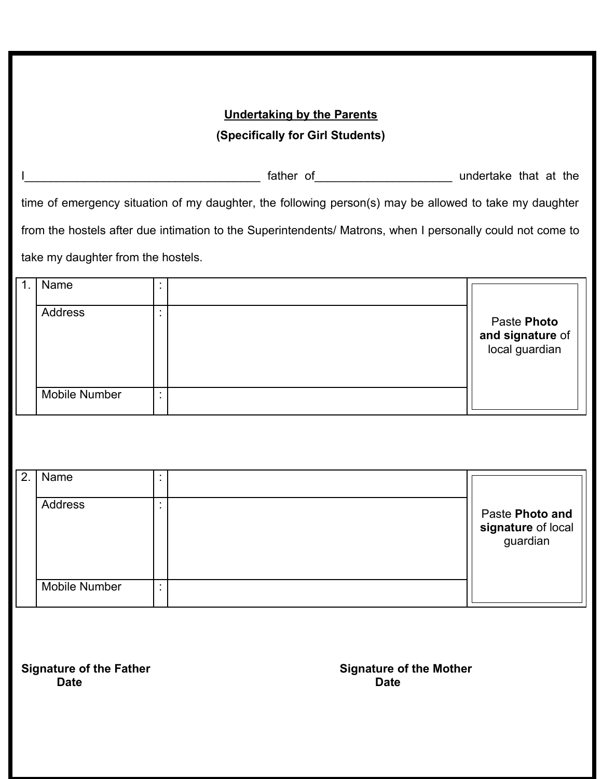#### **Undertaking by the Parents (Specifically for Girl Students)**

Interval and the set of the set of the set of the set of the set of the set of the set of the set of the set of the set of the set of the set of the set of the set of the set of the set of the set of the set of the set of time of emergency situation of my daughter, the following person(s) may be allowed to take my daughter from the hostels after due intimation to the Superintendents/ Matrons, when I personally could not come to take my daughter from the hostels.

| Name                 |  |                                                   |
|----------------------|--|---------------------------------------------------|
| Address              |  | Paste Photo<br>and signature of<br>local guardian |
| <b>Mobile Number</b> |  |                                                   |

| 2. | Name                 |  |                                                   |
|----|----------------------|--|---------------------------------------------------|
|    | Address              |  | Paste Photo and<br>signature of local<br>guardian |
|    | <b>Mobile Number</b> |  |                                                   |

**Date Date**

**Signature of the Father Signature of the Mother**